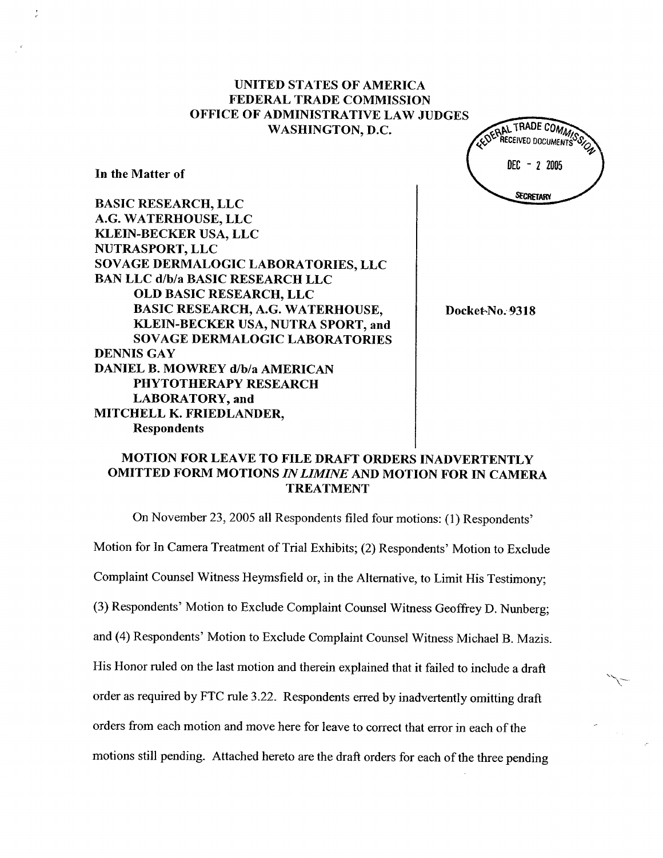EDERAL TRADE COMMISSED  $DEC - 22005$ **SECRETARY** 

In the Matter of

BASIC RESEARCH, LLC G. WATERHOUSE, LLC KLEIN-BECKER USA, LLC NUTRASPORT, LLC SOY AGE DERMALOGIC LABORATORIES, LLC BAN LLC d/b/a BASIC RESEARCH LLC OLD BASIC RESEARCH, LLC BASIC RESEARCH, A.G. WATERHOUSE KLEIN-BECKER USA, NUTRA SPORT, and SOVAGE DERMALOGIC LABORATORIES DENNIS GAY DANIEL B. MOWREY d/b/a AMERICAN PHYTOTHERAPY RESEARCH LABORATORY, and MITCHELL K. FRIEDLANDER Respondents

Docket-No. 9318

# MOTION FOR LEAVE TO FILE DRAFT ORDERS INADVERTENTLY OMITTED FORM MOTIONS IN LIMINE AND MOTION FOR IN CAMERA **TREATMENT**

On November 23 2005 all Respondents filed four motions: (1) Respondents

Motion for In Camera Treatment of Trial Exhibits; (2) Respondents' Motion to Exclude Complaint Counsel Witness Heymsfield or, in the Alternative, to Limit His Testimony;

(3) Respondents' Motion to Exclude Complaint Counsel Witness Geoffrey D. Nunberg;

and (4) Respondents' Motion to Exclude Complaint Counsel Witness Michael B. Mazis.

His Honor ruled on the last motion and therein explained that it failed to include a draft

order as required by FTC rule 3.22. Respondents erred by inadvertently omitting draft

orders from each motion and move here for leave to correct that error in each of the

motions stil pending. Attached hereto are the draft orders for each of the three pending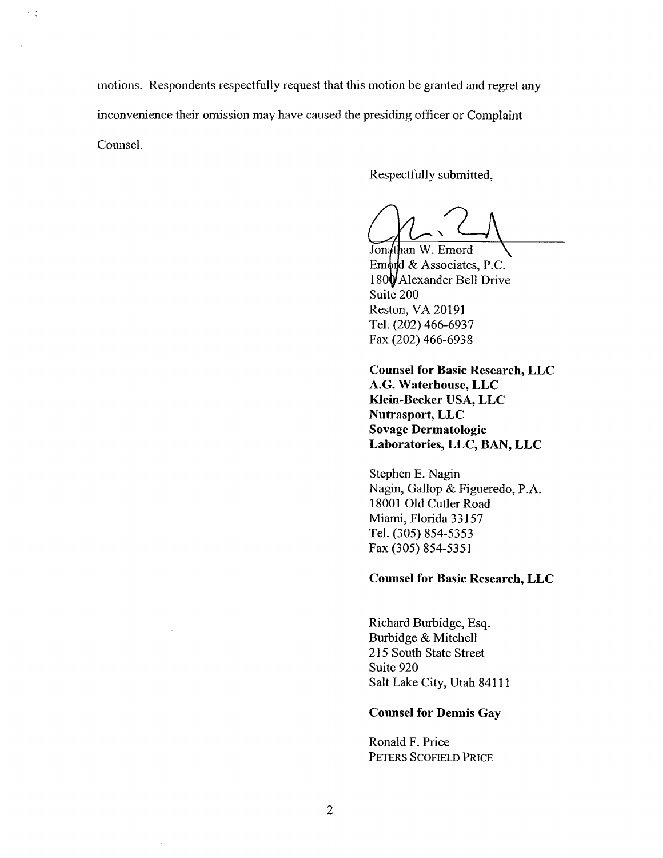motions. Respondents respectfully request that this motion be granted and regret any inconvenience their omission may have caused the presiding officer or Complaint Counsel.

Respectfully submitted

Jonathan W. Emord<br>Emord & Associates, P.C. 180 Alexander Bell Drive Suite 200 Reston, VA 20191 Tel. (202) 466-6937 Fax (202) 466-6938

Counsel for Basic Research, LLC G. Waterhouse, LLC Klein-Becker USA, LLC Nutrasport, LLC Sovage Dermatologic Laboratories, LLC, BAN, LLC

Stephen E. Nagin Nagin, Gallop & Figueredo, P. 18001 Old Cutler Road Miami, Florida 33157 Tel. (305) 854-5353 Fax (305) 854-5351

#### Counsel for Basic Research, LLC

Richard Burbidge, Esq. Burbidge & Mitchell 215 South State Street Suite 920 Salt Lake City, Utah 84111

#### Counsel for Dennis Gay

Ronald F. Price PETERS SCOFIELD PRICE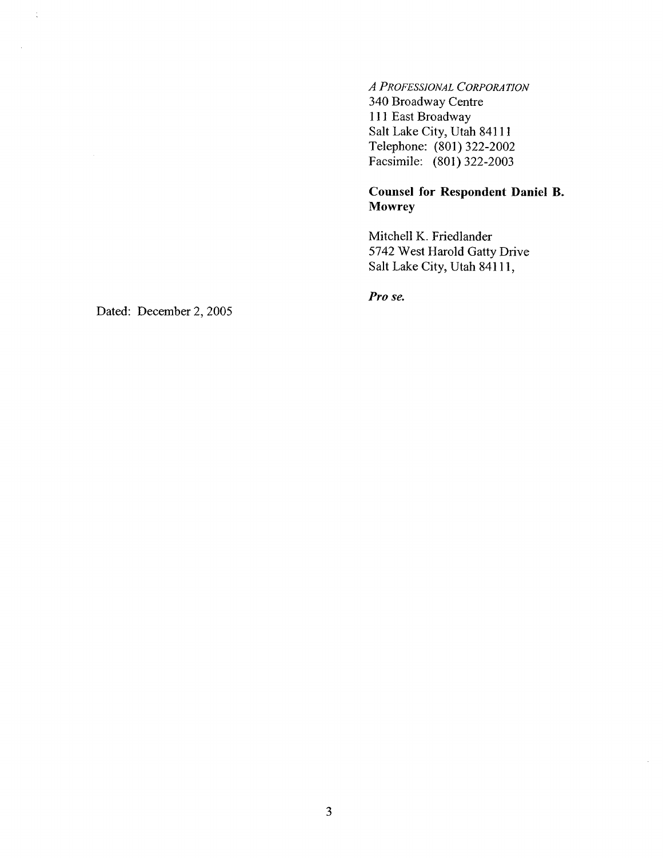A PROFESSIONAL CORPORATION 340 Broadway Centre <sup>111</sup>East Broadway Salt Lake City, Utah 84111 Telephone: (801) 322-2002 Facsimile: (801) 322-2003

# Counsel for Respondent Daniel B. Mowrey

Mitchell K. Friedlander 5742 West Harold Gatty Drive Salt Lake City, Utah 84111

Pro se.

Dated: December 2, 2005

 $\frac{1}{\lambda}$ 

 $\mathcal{A}$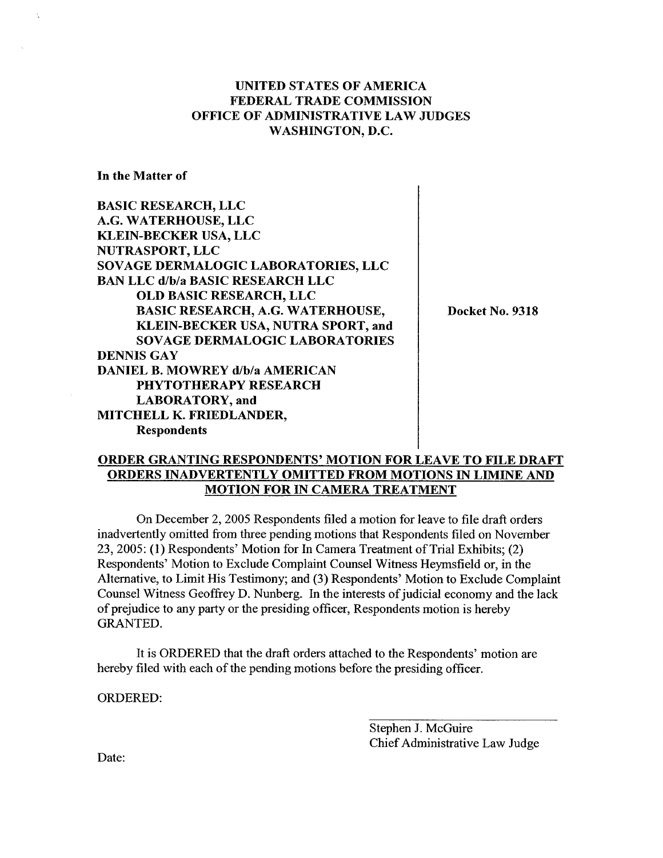$\overline{1}$ 

In the Matter of

| <b>BASIC RESEARCH, LLC</b>              |                 |
|-----------------------------------------|-----------------|
| A.G. WATERHOUSE, LLC                    |                 |
| <b>KLEIN-BECKER USA, LLC</b>            |                 |
| NUTRASPORT, LLC                         |                 |
| SOVAGE DERMALOGIC LABORATORIES, LLC     |                 |
| <b>BAN LLC d/b/a BASIC RESEARCH LLC</b> |                 |
| <b>OLD BASIC RESEARCH, LLC</b>          |                 |
| <b>BASIC RESEARCH, A.G. WATERHOUSE,</b> | Docket No. 9318 |
| KLEIN-BECKER USA, NUTRA SPORT, and      |                 |
| <b>SOVAGE DERMALOGIC LABORATORIES</b>   |                 |
| <b>DENNIS GAY</b>                       |                 |
| <b>DANIEL B. MOWREY d/b/a AMERICAN</b>  |                 |
| PHYTOTHERAPY RESEARCH                   |                 |
| <b>LABORATORY</b> , and                 |                 |
| MITCHELL K. FRIEDLANDER,                |                 |
| <b>Respondents</b>                      |                 |

## ORDER GRANTING RESPONDENTS' MOTION FOR LEAVE TO FILE DRAFT ORDERS INADVERTENTLY OMITTED FROM MOTIONS IN LIMINE AND MOTION FOR IN CAMERA TREATMENT

On December 2, 2005 Respondents filed a motion for leave to file draft orders inadvertently omitted from three pending motions that Respondents filed on November 23, 2005: (1) Respondents' Motion for In Camera Treatment of Trial Exhibits; (2) Respondents' Motion to Exclude Complaint Counsel Witness Heymsfield or, in the Alternative, to Limit His Testimony; and (3) Respondents' Motion to Exclude Complaint Counsel Witness Geoffrey D. Nunberg. In the interests of judicial economy and the lack of prejudice to any pary or the presiding offcer, Respondents motion is hereby GRANTED.

It is ORDERED that the draft orders attached to the Respondents' motion are hereby filed with each of the pending motions before the presiding officer.

ORDERED:

Stephen J. McGuire Chief Administrative Law Judge

Date: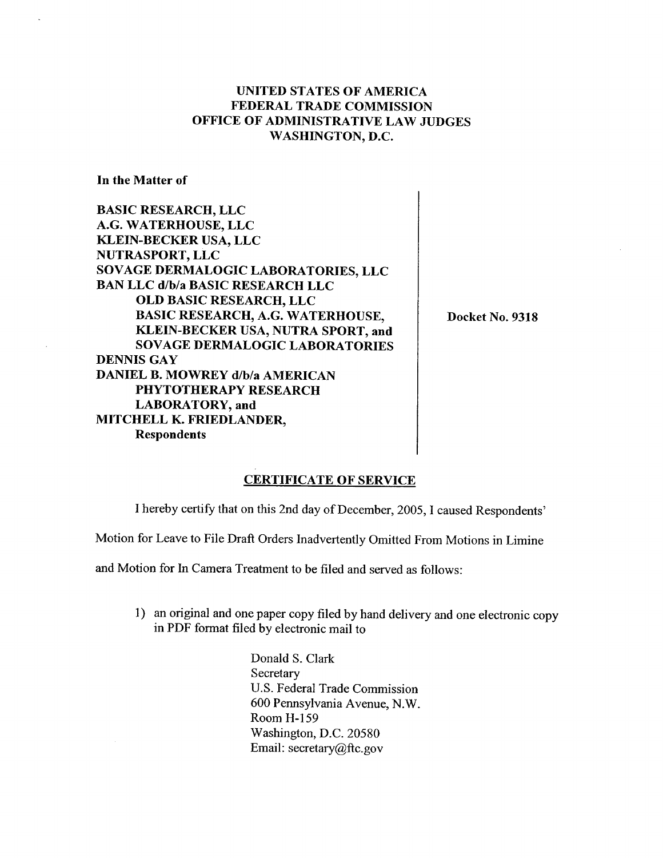In the Matter of

BASIC RESEARCH, LLC G. WATERHOUSE, LLC KLEIN-BECKER USA, LLC NUTRASPORT, LLC SOVAGE DERMALOGIC LABORATORIES, LLC BAN LLC d/b/a BASIC RESEARCH LLC OLD BASIC RESEARCH, LLC BASIC RESEARCH, A.G. WATERHOUSE KLEIN-BECKER USA, NUTRA SPORT, and SOVAGE DERMALOGIC LABORATORIES DENNIS GAY DANIEL B. MOWREY d/b/a AMERICAN PHYTOTHERAPY RESEARCH LABORATORY, and MITCHELL K. FRIEDLANDER Respondents

Docket No. 9318

## CERTIFICATE OF SERVICE

I hereby certify that on this 2nd day of December, 2005, I caused Respondents

Motion for Leave to File Draft Orders Inadvertently Omitted From Motions in Limine

and Motion for In Camera Treatment to be filed and served as follows:

1) an original and one paper copy filed by hand delivery and one electronic copy in PDF format filed by electronic mail to

> Donald S. Clark Secretary U.S. Federal Trade Commission 600 Pennsylvania Avenue, N. Room H- 159 Washington, D.C. 20580 Email: secretary  $@$ ftc.gov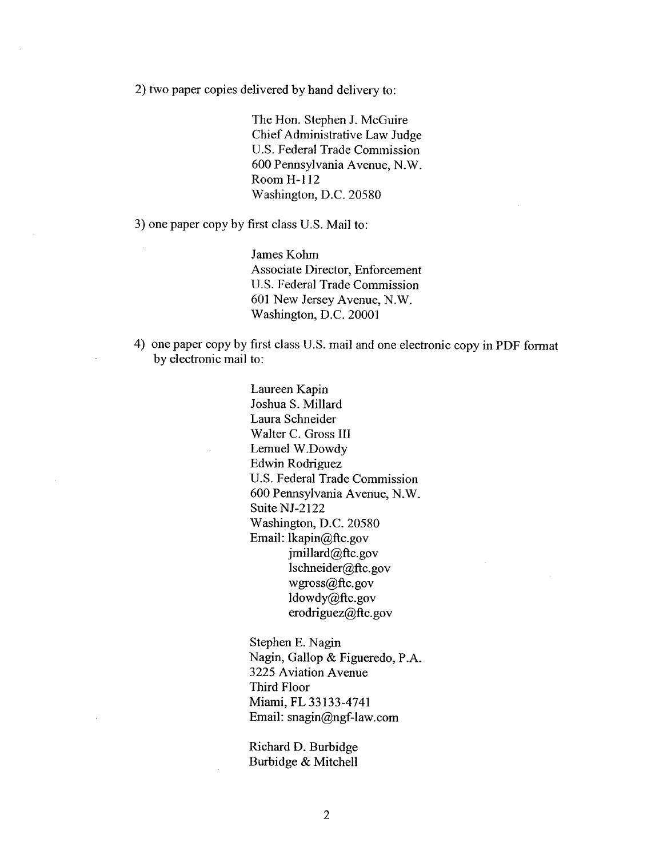2) two paper copies delivered by hand delivery to:

The Hon. Stephen J. McGuire Chief Administrative Law Judge U.S. Federal Trade Commission 600 Pennsylvania Avenue, N. Room H-112 Washington, D.C. 20580

3) one paper copy by first class U.S. Mail to:

James Kohm Associate Director, Enforcement U.S. Federal Trade Commission 601 New Jersey Avenue, N. Washington, D.C. 20001

4) one paper copy by first class U.S. mail and one electronic copy in PDF format by electronic mail to:

> Laureen Kapin Joshua S. Milard Laura Schneider Walter C. Gross III Lemuel W.Dowdy Edwin Rodriguez U.S. Federal Trade Commission 600 Pennsylvania Avenue, N. Suite NJ-2122 Washington, D.C. 20580 Email: lkapin@ftc.gov jmillard@ftc.gov lschneider@ftc.gov wgross@ftc.gov ldowdy@ftc.gov erodriguez@ftc.gov

Stephen E. Nagin Nagin, Gallop & Figueredo, P. 3225 Aviation Avenue Third Floor Miami, FL 33133-4741 Email: snagin@ngf-law.com

Richard D. Burbidge Burbidge & Mitchell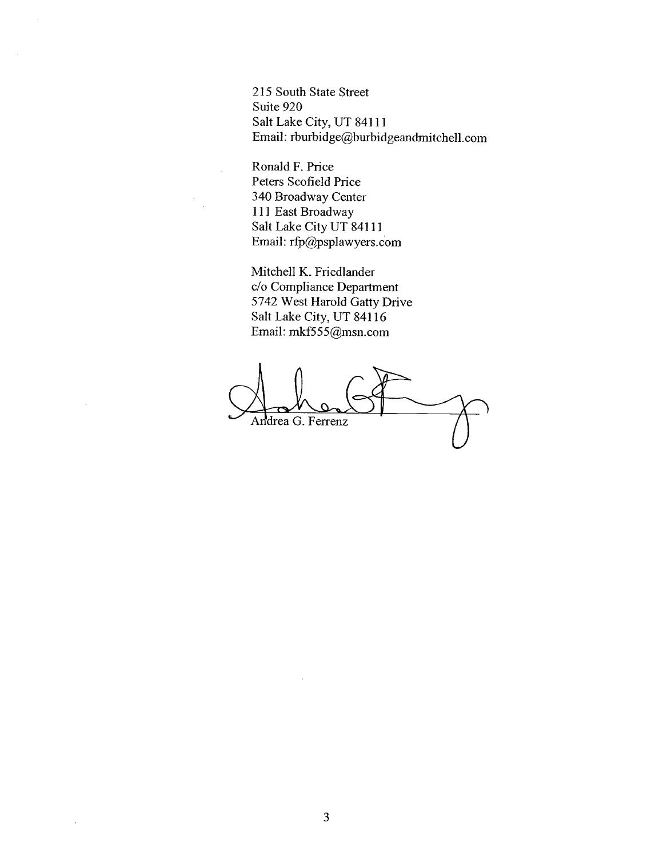215 South State Street Suite 920 Salt Lake City, UT 84111 Email: rburbidge@burbidgeandmitchell.com

Ronald F. Price Peters Scofield Price 340 Broadway Center <sup>111</sup>East Broadway Salt Lake City UT 84111 Email: rfp@psplawyers.com

Mitchell K. Friedlander c/o Compliance Department 5742 West Harold Gatty Drive Salt Lake City, UT 84116 Email: mkf555@msn.com

Andrea G. Ferrenz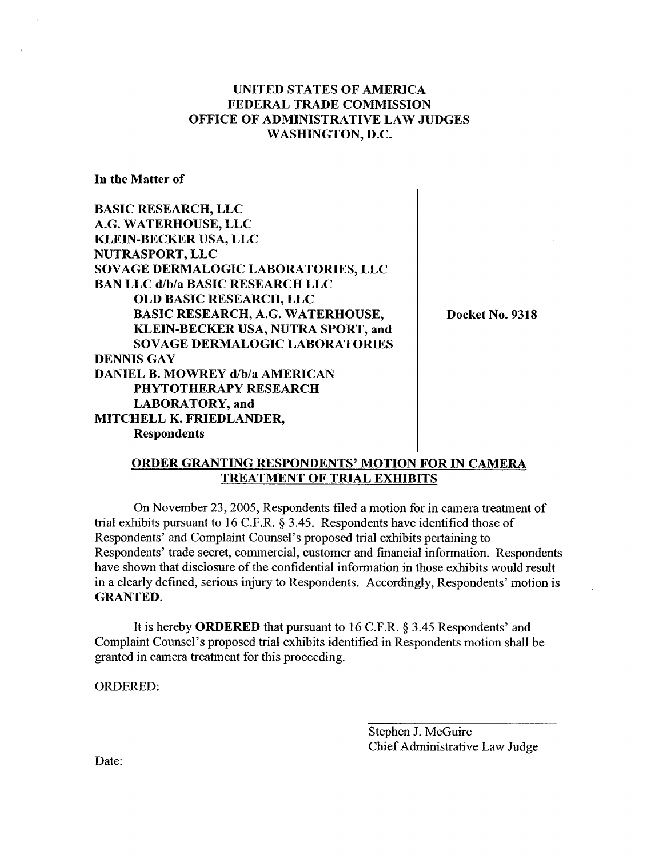In the Matter of

BASIC RESEARCH, LLC G. WATERHOUSE, LLC KLEIN-BECKER USA, LLC NUTRASPORT, LLC SOVAGE DERMALOGIC LABORATORIES, LLC BAN LLC d/b/a BASIC RESEARCH LLC OLD BASIC RESEARCH, LLC BASIC RESEARCH, A.G. WATERHOUSE KLEIN-BECKER USA, NUTRA SPORT, and SOVAGE DERMALOGIC LABORATORIES DENNIS GAY DANIEL B. MOWREY d/b/a AMERICAN PHYTOTHERAPY RESEARCH LABORATORY, and MITCHELL K. FRIEDLANDER Respondents

Docket No. 9318

#### ORDER GRANTING RESPONDENTS' MOTION FOR IN CAMERA TREATMENT OF TRIAL EXHIBITS

On November 23 , 2005, Respondents filed a motion for in camera treatment of trial exhibits pursuant to 16 C.F.R.  $\S$  3.45. Respondents have identified those of Respondents' and Complaint Counsel's proposed trial exhibits pertaining to Respondents' trade secret, commercial, customer and financial information. Respondents have shown that disclosure of the confidential information in those exhibits would result in a clearly defined, serious injury to Respondents. Accordingly, Respondents' motion is GRANTED.

It is hereby **ORDERED** that pursuant to 16 C.F.R. § 3.45 Respondents' and Complaint Counsel's proposed trial exhibits identified in Respondents motion shall be granted in camera treatment for this proceeding.

ORDERED:

Stephen J. McGuire Chief Administrative Law Judge

Date: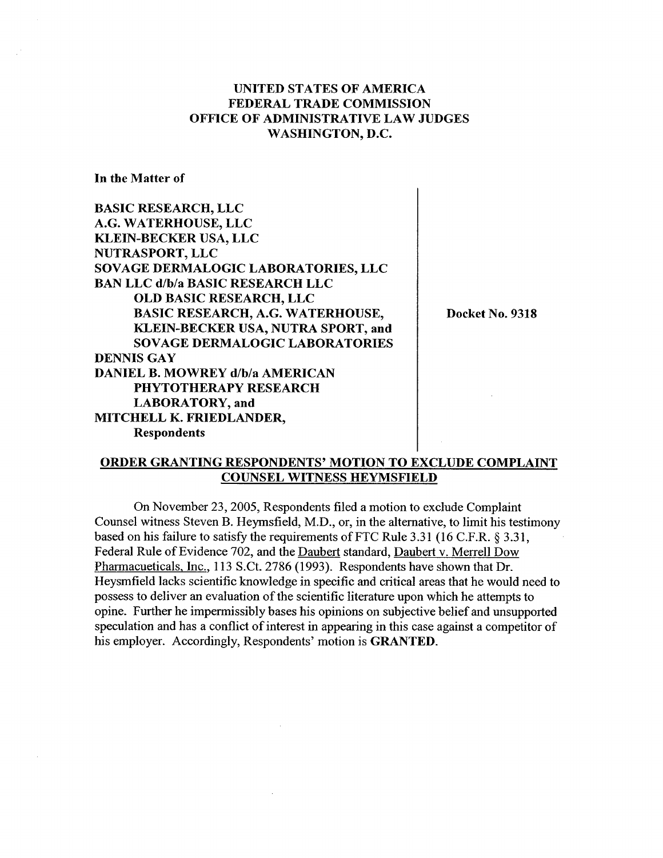$\overline{1}$ 

In the Matter of

| <b>BASIC RESEARCH, LLC</b>              |                 |
|-----------------------------------------|-----------------|
| A.G. WATERHOUSE, LLC                    |                 |
| <b>KLEIN-BECKER USA, LLC</b>            |                 |
| NUTRASPORT, LLC                         |                 |
| SOVAGE DERMALOGIC LABORATORIES, LLC     |                 |
| <b>BAN LLC d/b/a BASIC RESEARCH LLC</b> |                 |
| <b>OLD BASIC RESEARCH, LLC</b>          |                 |
| <b>BASIC RESEARCH, A.G. WATERHOUSE,</b> | Docket No. 9318 |
| KLEIN-BECKER USA, NUTRA SPORT, and      |                 |
| <b>SOVAGE DERMALOGIC LABORATORIES</b>   |                 |
| <b>DENNIS GAY</b>                       |                 |
| <b>DANIEL B. MOWREY d/b/a AMERICAN</b>  |                 |
| <b>PHYTOTHERAPY RESEARCH</b>            |                 |
| LABORATORY, and                         |                 |
| MITCHELL K. FRIEDLANDER,                |                 |
| <b>Respondents</b>                      |                 |

#### ORDER GRANTING RESPONDENTS' MOTION TO EXCLUDE COMPLAINT COUNSEL WITNESS HEYMSFIELD

On November 23, 2005, Respondents filed a motion to exclude Complaint Counsel witness Steven B. Heymsfield, M.D., or, in the alternative, to limit his testimony based on his failure to satisfy the requirements of FTC Rule 3.31 (16 C.F.R.  $\S 3.31$ , Federal Rule of Evidence 702, and the Daubert standard, Daubert v. Merrell Dow Pharmacueticals. Inc., 113 S.Ct. 2786 (1993). Respondents have shown that Dr. Heysmfield lacks scientific knowledge in specific and critical areas that he would need to possess to deliver an evaluation of the scientific literature upon which he attempts to opine. Further he impermissibly bases his opinions on subjective belief and unsupported speculation and has a conflict of interest in appearng in this case against a competitor of his employer. Accordingly, Respondents' motion is GRANTED.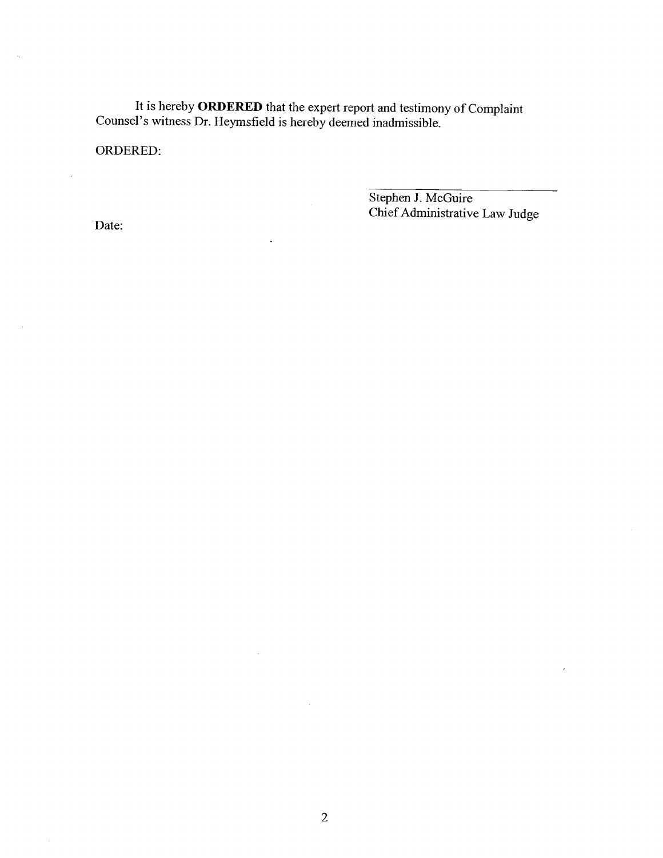It is hereby ORDERED that the expert report and testimony of Complaint Counsel's witness Dr. Heymsfield is hereby deemed inadmissible.

l,

 $\mathcal{A}^{\mathcal{A}}$ 

ORDERED:

Stephen J. McGuire Chief Administrative Law Judge

Date:

 $\bar{z}$ 

 $\hat{\boldsymbol{\beta}}$ 

 $\mathcal{A}_\alpha$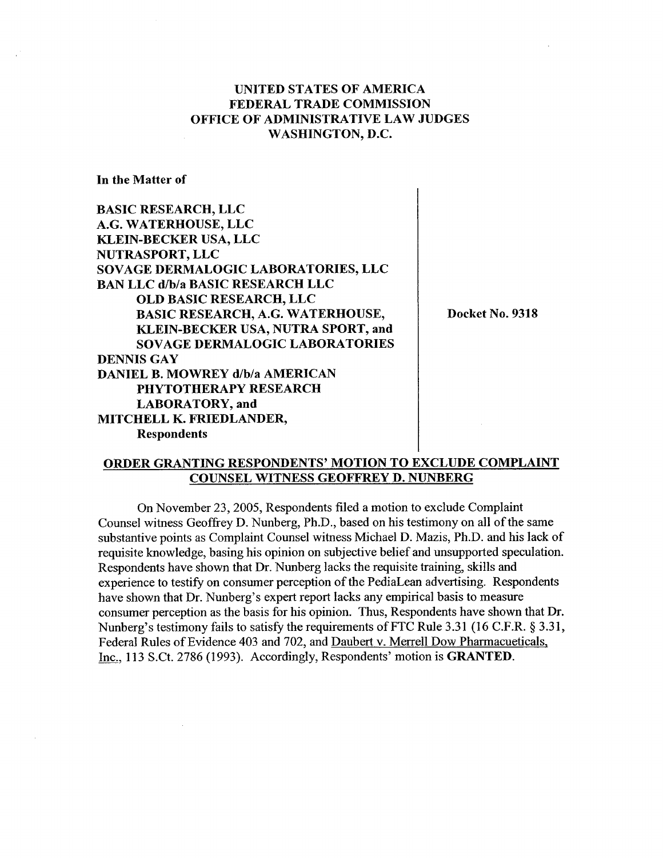In the Matter of

| <b>BASIC RESEARCH, LLC</b>              |  |
|-----------------------------------------|--|
| A.G. WATERHOUSE, LLC                    |  |
| <b>KLEIN-BECKER USA, LLC</b>            |  |
| <b>NUTRASPORT, LLC</b>                  |  |
| SOVAGE DERMALOGIC LABORATORIES, LLC     |  |
| <b>BAN LLC d/b/a BASIC RESEARCH LLC</b> |  |
| <b>OLD BASIC RESEARCH, LLC</b>          |  |
| <b>BASIC RESEARCH, A.G. WATERHOUSE,</b> |  |
| KLEIN-BECKER USA, NUTRA SPORT, and      |  |
| <b>SOVAGE DERMALOGIC LABORATORIES</b>   |  |
| <b>DENNIS GAY</b>                       |  |
| <b>DANIEL B. MOWREY d/b/a AMERICAN</b>  |  |
| PHYTOTHERAPY RESEARCH                   |  |
| <b>LABORATORY</b> , and                 |  |
| MITCHELL K. FRIEDLANDER,                |  |
| <b>Respondents</b>                      |  |

Docket No. 9318

 $\mathbf{I}$ 

#### ORDER GRANTING RESPONDENTS' MOTION TO EXCLUDE COMPLAINT COUNSEL WITNESS GEOFFREY D. NUNBERG

On November 23, 2005, Respondents filed a motion to exclude Complaint Counsel witness Geoffrey D. Nunberg, Ph.D., based on his testimony on all of the same substantive points as Complaint Counsel witness Michael D. Mazis, Ph.D. and his lack of requisite knowledge, basing his opinion on subjective belief and unsupported speculation. Respondents have shown that Dr. Nunberg lacks the requisite training, skils and experience to testify on consumer perception of the PediaLean advertising. Respondents have shown that Dr. Nunberg's expert report lacks any empirical basis to measure consumer perception as the basis for his opinion. Thus, Respondents have shown that Dr. Nunberg's testimony fails to satisfy the requirements of FTC Rule 3.31 (16 C.F.R.  $\S 3.31$ , Federal Rules of Evidence 403 and 702, and Daubert v. Merrell Dow Pharmacueticals, Inc., 113 S.Ct. 2786 (1993). Accordingly, Respondents' motion is GRANTED.